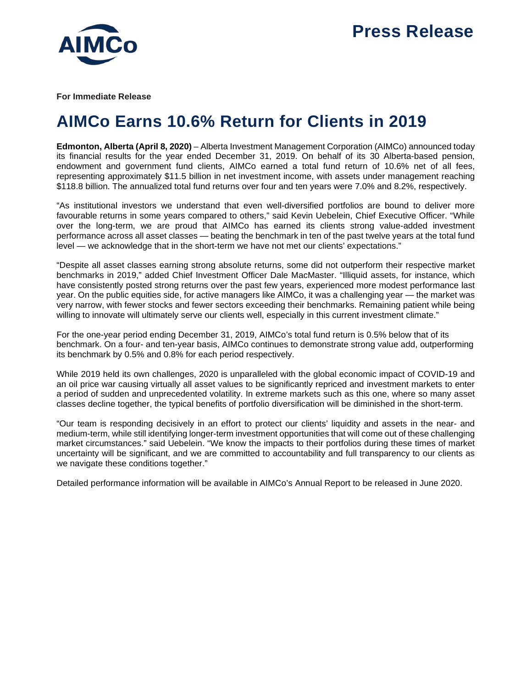

**For Immediate Release**

## **AIMCo Earns 10.6% Return for Clients in 2019**

**Edmonton, Alberta (April 8, 2020)** – Alberta Investment Management Corporation (AIMCo) announced today its financial results for the year ended December 31, 2019. On behalf of its 30 Alberta-based pension, endowment and government fund clients, AIMCo earned a total fund return of 10.6% net of all fees, representing approximately \$11.5 billion in net investment income, with assets under management reaching \$118.8 billion. The annualized total fund returns over four and ten years were 7.0% and 8.2%, respectively.

"As institutional investors we understand that even well-diversified portfolios are bound to deliver more favourable returns in some years compared to others," said Kevin Uebelein, Chief Executive Officer. "While over the long-term, we are proud that AIMCo has earned its clients strong value-added investment performance across all asset classes — beating the benchmark in ten of the past twelve years at the total fund level — we acknowledge that in the short-term we have not met our clients' expectations."

"Despite all asset classes earning strong absolute returns, some did not outperform their respective market benchmarks in 2019," added Chief Investment Officer Dale MacMaster. "Illiquid assets, for instance, which have consistently posted strong returns over the past few years, experienced more modest performance last year. On the public equities side, for active managers like AIMCo, it was a challenging year — the market was very narrow, with fewer stocks and fewer sectors exceeding their benchmarks. Remaining patient while being willing to innovate will ultimately serve our clients well, especially in this current investment climate."

For the one-year period ending December 31, 2019, AIMCo's total fund return is 0.5% below that of its benchmark. On a four- and ten-year basis, AIMCo continues to demonstrate strong value add, outperforming its benchmark by 0.5% and 0.8% for each period respectively.

While 2019 held its own challenges, 2020 is unparalleled with the global economic impact of COVID-19 and an oil price war causing virtually all asset values to be significantly repriced and investment markets to enter a period of sudden and unprecedented volatility. In extreme markets such as this one, where so many asset classes decline together, the typical benefits of portfolio diversification will be diminished in the short-term.

"Our team is responding decisively in an effort to protect our clients' liquidity and assets in the near- and medium-term, while still identifying longer-term investment opportunities that will come out of these challenging market circumstances." said Uebelein. "We know the impacts to their portfolios during these times of market uncertainty will be significant, and we are committed to accountability and full transparency to our clients as we navigate these conditions together."

Detailed performance information will be available in AIMCo's Annual Report to be released in June 2020.